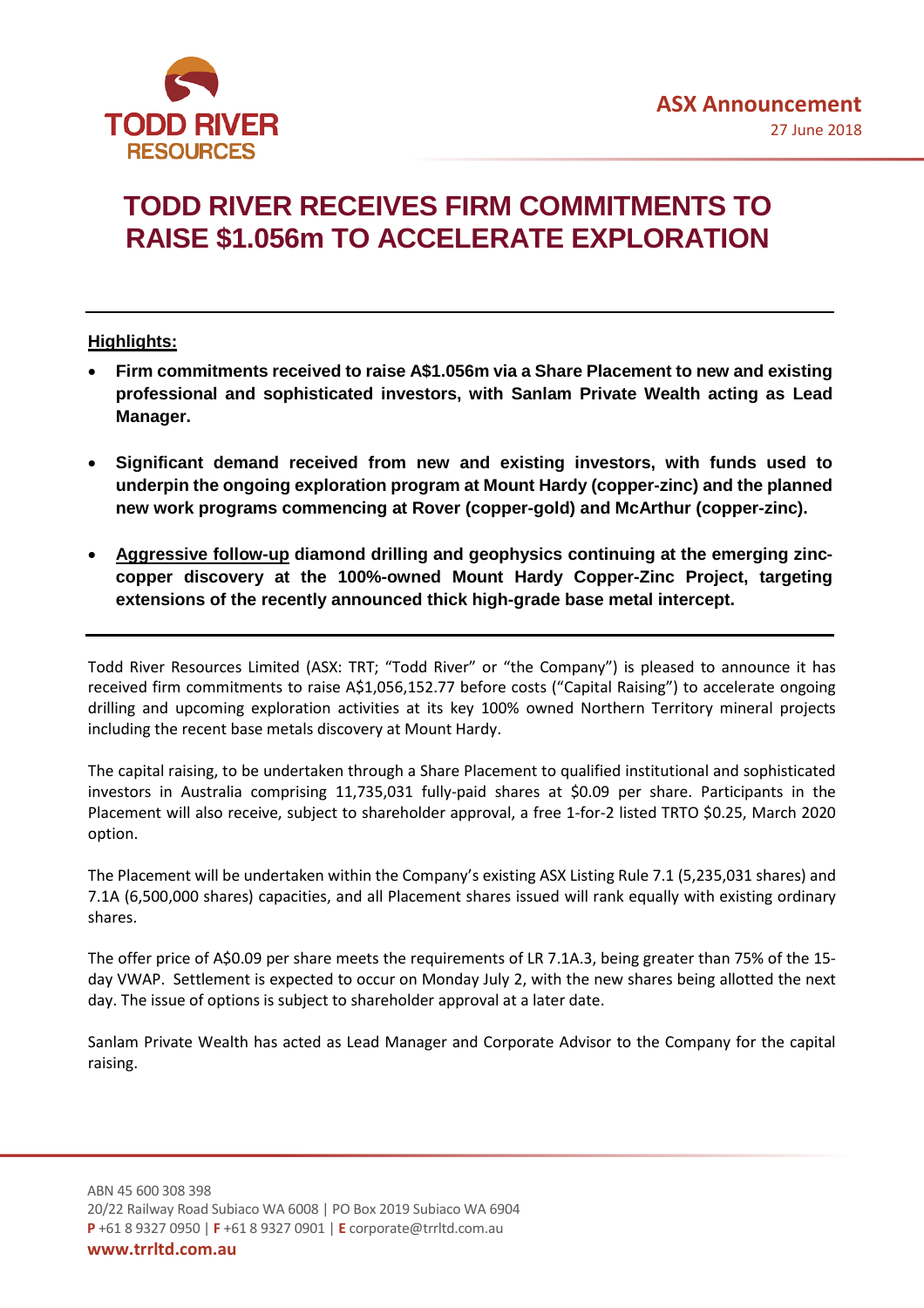

## **TODD RIVER RECEIVES FIRM COMMITMENTS TO RAISE \$1.056m TO ACCELERATE EXPLORATION**

## **Highlights:**

- **Firm commitments received to raise A\$1.056m via a Share Placement to new and existing professional and sophisticated investors, with Sanlam Private Wealth acting as Lead Manager.**
- **Significant demand received from new and existing investors, with funds used to underpin the ongoing exploration program at Mount Hardy (copper-zinc) and the planned new work programs commencing at Rover (copper-gold) and McArthur (copper-zinc).**
- **Aggressive follow-up diamond drilling and geophysics continuing at the emerging zinccopper discovery at the 100%-owned Mount Hardy Copper-Zinc Project, targeting extensions of the recently announced thick high-grade base metal intercept.**

Todd River Resources Limited (ASX: TRT; "Todd River" or "the Company") is pleased to announce it has received firm commitments to raise A\$1,056,152.77 before costs ("Capital Raising") to accelerate ongoing drilling and upcoming exploration activities at its key 100% owned Northern Territory mineral projects including the recent base metals discovery at Mount Hardy.

The capital raising, to be undertaken through a Share Placement to qualified institutional and sophisticated investors in Australia comprising 11,735,031 fully-paid shares at \$0.09 per share. Participants in the Placement will also receive, subject to shareholder approval, a free 1-for-2 listed TRTO \$0.25, March 2020 option.

The Placement will be undertaken within the Company's existing ASX Listing Rule 7.1 (5,235,031 shares) and 7.1A (6,500,000 shares) capacities, and all Placement shares issued will rank equally with existing ordinary shares.

The offer price of A\$0.09 per share meets the requirements of LR 7.1A.3, being greater than 75% of the 15 day VWAP. Settlement is expected to occur on Monday July 2, with the new shares being allotted the next day. The issue of options is subject to shareholder approval at a later date.

Sanlam Private Wealth has acted as Lead Manager and Corporate Advisor to the Company for the capital raising.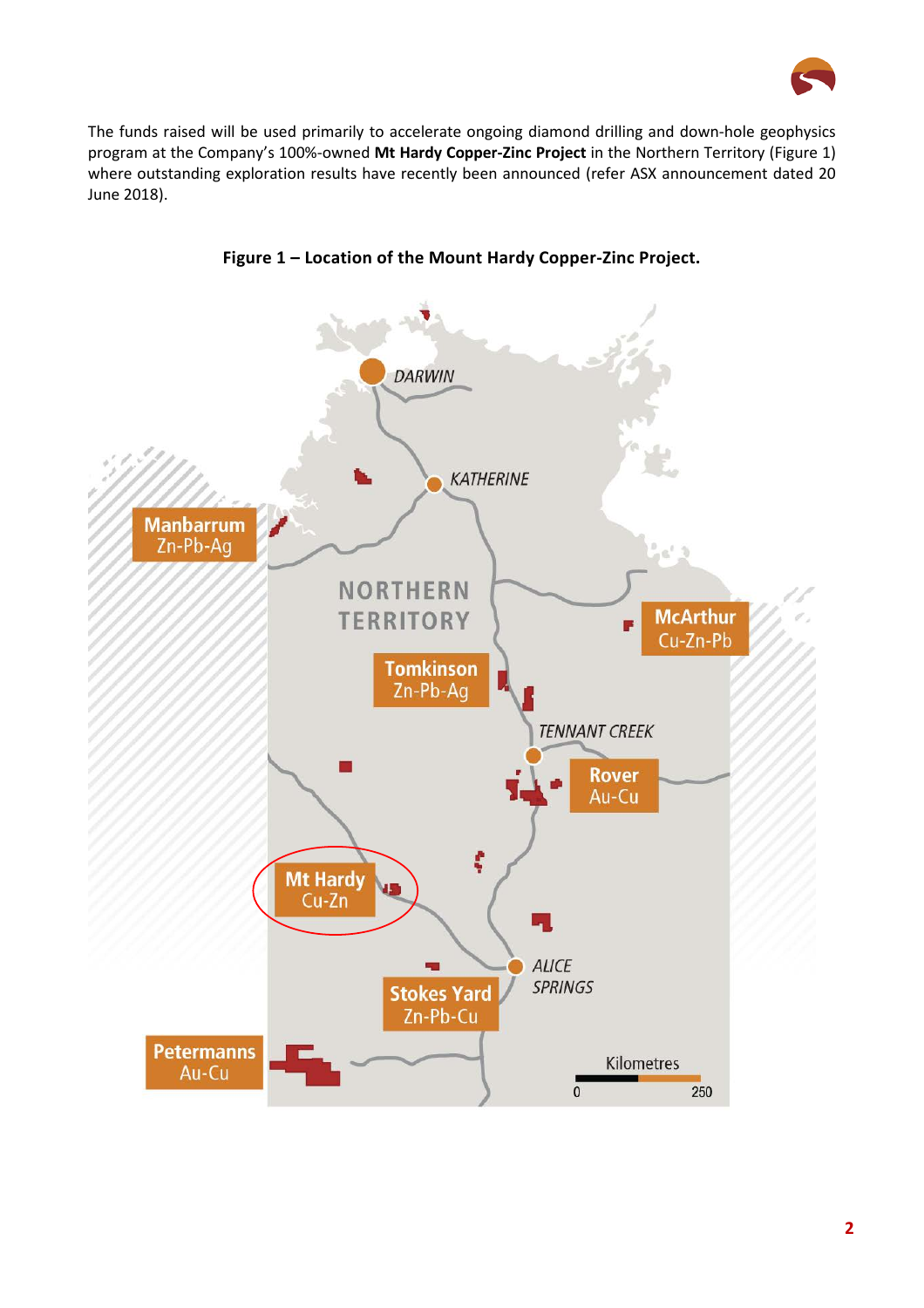

The funds raised will be used primarily to accelerate ongoing diamond drilling and down-hole geophysics program at the Company's 100%-owned **Mt Hardy Copper-Zinc Project** in the Northern Territory (Figure 1) where outstanding exploration results have recently been announced (refer ASX announcement dated 20 June 2018).



**Figure 1 – Location of the Mount Hardy Copper-Zinc Project.**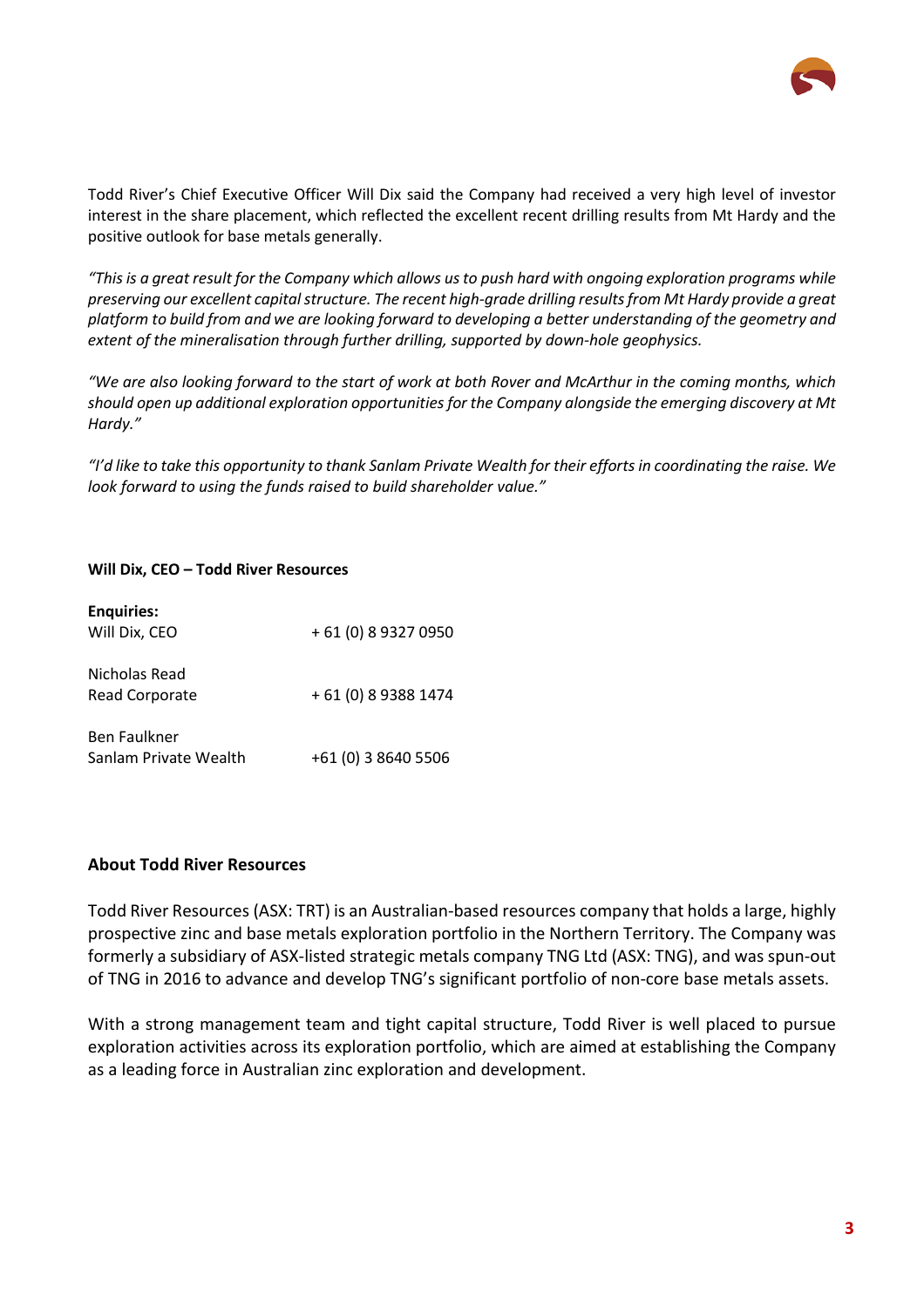

Todd River's Chief Executive Officer Will Dix said the Company had received a very high level of investor interest in the share placement, which reflected the excellent recent drilling results from Mt Hardy and the positive outlook for base metals generally.

*"This is a great result for the Company which allows us to push hard with ongoing exploration programs while preserving our excellent capital structure. The recent high-grade drilling results from Mt Hardy provide a great platform to build from and we are looking forward to developing a better understanding of the geometry and extent of the mineralisation through further drilling, supported by down-hole geophysics.* 

*"We are also looking forward to the start of work at both Rover and McArthur in the coming months, which should open up additional exploration opportunities for the Company alongside the emerging discovery at Mt Hardy."*

*"I'd like to take this opportunity to thank Sanlam Private Wealth for their efforts in coordinating the raise. We look forward to using the funds raised to build shareholder value."*

## **Will Dix, CEO – Todd River Resources**

| <b>Enquiries:</b><br>Will Dix, CEO           | + 61 (0) 8 9327 0950 |
|----------------------------------------------|----------------------|
| Nicholas Read<br>Read Corporate              | + 61 (0) 8 9388 1474 |
| <b>Ben Faulkner</b><br>Sanlam Private Wealth | +61 (0) 3 8640 5506  |

## **About Todd River Resources**

Todd River Resources (ASX: TRT) is an Australian-based resources company that holds a large, highly prospective zinc and base metals exploration portfolio in the Northern Territory. The Company was formerly a subsidiary of ASX-listed strategic metals company TNG Ltd (ASX: TNG), and was spun-out of TNG in 2016 to advance and develop TNG's significant portfolio of non-core base metals assets.

With a strong management team and tight capital structure, Todd River is well placed to pursue exploration activities across its exploration portfolio, which are aimed at establishing the Company as a leading force in Australian zinc exploration and development.